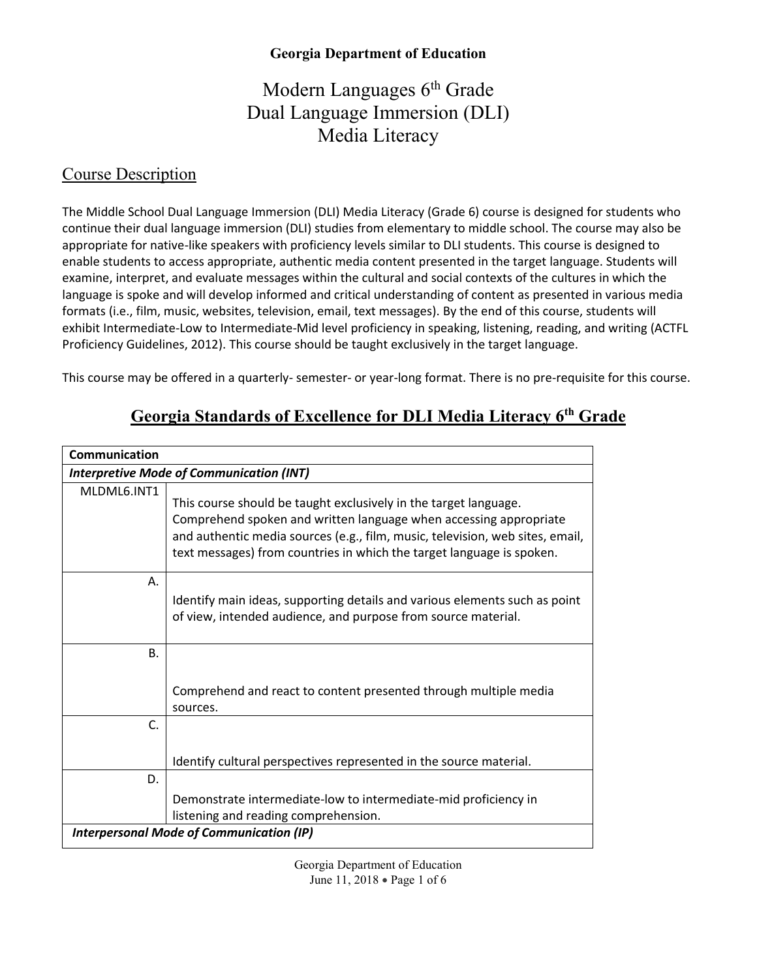# Modern Languages 6<sup>th</sup> Grade Dual Language Immersion (DLI) Media Literacy

#### Course Description

The Middle School Dual Language Immersion (DLI) Media Literacy (Grade 6) course is designed for students who continue their dual language immersion (DLI) studies from elementary to middle school. The course may also be appropriate for native-like speakers with proficiency levels similar to DLI students. This course is designed to enable students to access appropriate, authentic media content presented in the target language. Students will examine, interpret, and evaluate messages within the cultural and social contexts of the cultures in which the language is spoke and will develop informed and critical understanding of content as presented in various media formats (i.e., film, music, websites, television, email, text messages). By the end of this course, students will exhibit Intermediate-Low to Intermediate-Mid level proficiency in speaking, listening, reading, and writing (ACTFL Proficiency Guidelines, 2012). This course should be taught exclusively in the target language.

This course may be offered in a quarterly- semester- or year-long format. There is no pre-requisite for this course.

| Communication                                   |                                                                                                                                                                                                                                                                                                 |  |
|-------------------------------------------------|-------------------------------------------------------------------------------------------------------------------------------------------------------------------------------------------------------------------------------------------------------------------------------------------------|--|
| <b>Interpretive Mode of Communication (INT)</b> |                                                                                                                                                                                                                                                                                                 |  |
| MLDML6.INT1                                     | This course should be taught exclusively in the target language.<br>Comprehend spoken and written language when accessing appropriate<br>and authentic media sources (e.g., film, music, television, web sites, email,<br>text messages) from countries in which the target language is spoken. |  |
| Α.                                              | Identify main ideas, supporting details and various elements such as point<br>of view, intended audience, and purpose from source material.                                                                                                                                                     |  |
| <b>B.</b>                                       |                                                                                                                                                                                                                                                                                                 |  |
|                                                 | Comprehend and react to content presented through multiple media<br>sources.                                                                                                                                                                                                                    |  |
| C.                                              |                                                                                                                                                                                                                                                                                                 |  |
|                                                 | Identify cultural perspectives represented in the source material.                                                                                                                                                                                                                              |  |
| D.                                              |                                                                                                                                                                                                                                                                                                 |  |
|                                                 | Demonstrate intermediate-low to intermediate-mid proficiency in                                                                                                                                                                                                                                 |  |
|                                                 | listening and reading comprehension.                                                                                                                                                                                                                                                            |  |
| <b>Interpersonal Mode of Communication (IP)</b> |                                                                                                                                                                                                                                                                                                 |  |

## **Georgia Standards of Excellence for DLI Media Literacy 6th Grade**

Georgia Department of Education June 11, 2018 • Page 1 of 6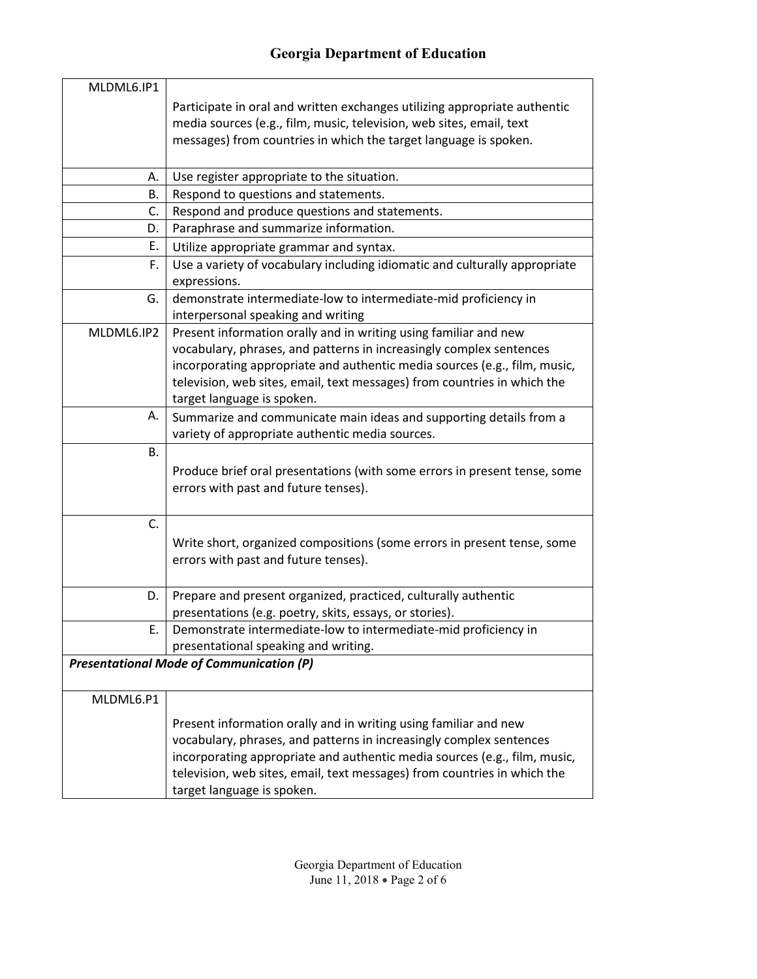| MLDML6.IP1 |                                                                                                                                                  |
|------------|--------------------------------------------------------------------------------------------------------------------------------------------------|
|            | Participate in oral and written exchanges utilizing appropriate authentic                                                                        |
|            | media sources (e.g., film, music, television, web sites, email, text                                                                             |
|            | messages) from countries in which the target language is spoken.                                                                                 |
|            |                                                                                                                                                  |
| А.         | Use register appropriate to the situation.                                                                                                       |
| В.         | Respond to questions and statements.                                                                                                             |
| C.         | Respond and produce questions and statements.                                                                                                    |
| D.         | Paraphrase and summarize information.                                                                                                            |
| Е.         | Utilize appropriate grammar and syntax.                                                                                                          |
| F.         | Use a variety of vocabulary including idiomatic and culturally appropriate<br>expressions.                                                       |
| G.         | demonstrate intermediate-low to intermediate-mid proficiency in                                                                                  |
|            | interpersonal speaking and writing                                                                                                               |
| MLDML6.IP2 | Present information orally and in writing using familiar and new                                                                                 |
|            | vocabulary, phrases, and patterns in increasingly complex sentences<br>incorporating appropriate and authentic media sources (e.g., film, music, |
|            |                                                                                                                                                  |
|            | television, web sites, email, text messages) from countries in which the                                                                         |
|            | target language is spoken.                                                                                                                       |
| А.         | Summarize and communicate main ideas and supporting details from a<br>variety of appropriate authentic media sources.                            |
| В.         |                                                                                                                                                  |
|            | Produce brief oral presentations (with some errors in present tense, some                                                                        |
|            | errors with past and future tenses).                                                                                                             |
|            |                                                                                                                                                  |
| C.         |                                                                                                                                                  |
|            | Write short, organized compositions (some errors in present tense, some                                                                          |
|            | errors with past and future tenses).                                                                                                             |
|            |                                                                                                                                                  |
| D.         | Prepare and present organized, practiced, culturally authentic                                                                                   |
|            | presentations (e.g. poetry, skits, essays, or stories).                                                                                          |
| Е.         | Demonstrate intermediate-low to intermediate-mid proficiency in                                                                                  |
|            | presentational speaking and writing.                                                                                                             |
|            | <b>Presentational Mode of Communication (P)</b>                                                                                                  |
| MLDML6.P1  |                                                                                                                                                  |
|            | Present information orally and in writing using familiar and new                                                                                 |
|            | vocabulary, phrases, and patterns in increasingly complex sentences                                                                              |
|            | incorporating appropriate and authentic media sources (e.g., film, music,                                                                        |
|            | television, web sites, email, text messages) from countries in which the                                                                         |
|            | target language is spoken.                                                                                                                       |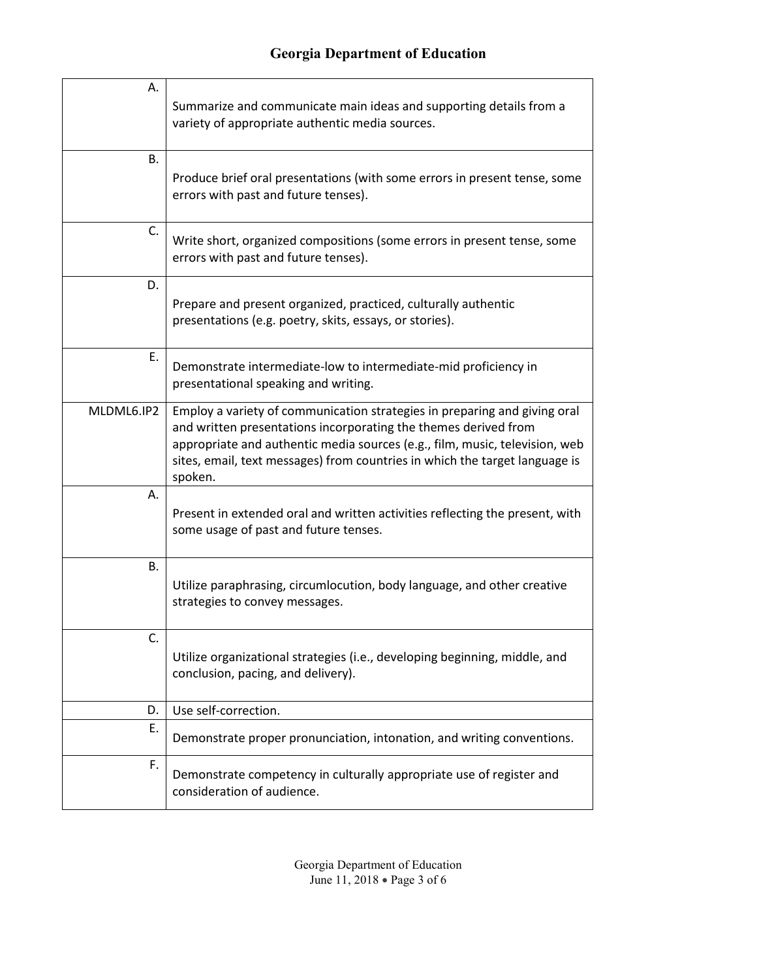| А.         | Summarize and communicate main ideas and supporting details from a<br>variety of appropriate authentic media sources.                                                                                                                                                                                                 |
|------------|-----------------------------------------------------------------------------------------------------------------------------------------------------------------------------------------------------------------------------------------------------------------------------------------------------------------------|
| В.         | Produce brief oral presentations (with some errors in present tense, some<br>errors with past and future tenses).                                                                                                                                                                                                     |
| C.         | Write short, organized compositions (some errors in present tense, some<br>errors with past and future tenses).                                                                                                                                                                                                       |
| D.         | Prepare and present organized, practiced, culturally authentic<br>presentations (e.g. poetry, skits, essays, or stories).                                                                                                                                                                                             |
| E.         | Demonstrate intermediate-low to intermediate-mid proficiency in<br>presentational speaking and writing.                                                                                                                                                                                                               |
| MLDML6.IP2 | Employ a variety of communication strategies in preparing and giving oral<br>and written presentations incorporating the themes derived from<br>appropriate and authentic media sources (e.g., film, music, television, web<br>sites, email, text messages) from countries in which the target language is<br>spoken. |
| А.         | Present in extended oral and written activities reflecting the present, with<br>some usage of past and future tenses.                                                                                                                                                                                                 |
| В.         | Utilize paraphrasing, circumlocution, body language, and other creative<br>strategies to convey messages.                                                                                                                                                                                                             |
| C.         | Utilize organizational strategies (i.e., developing beginning, middle, and<br>conclusion, pacing, and delivery).                                                                                                                                                                                                      |
| D.         | Use self-correction.                                                                                                                                                                                                                                                                                                  |
| Ε.         | Demonstrate proper pronunciation, intonation, and writing conventions.                                                                                                                                                                                                                                                |
| F.         | Demonstrate competency in culturally appropriate use of register and<br>consideration of audience.                                                                                                                                                                                                                    |

Georgia Department of Education June 11, 2018 • Page 3 of 6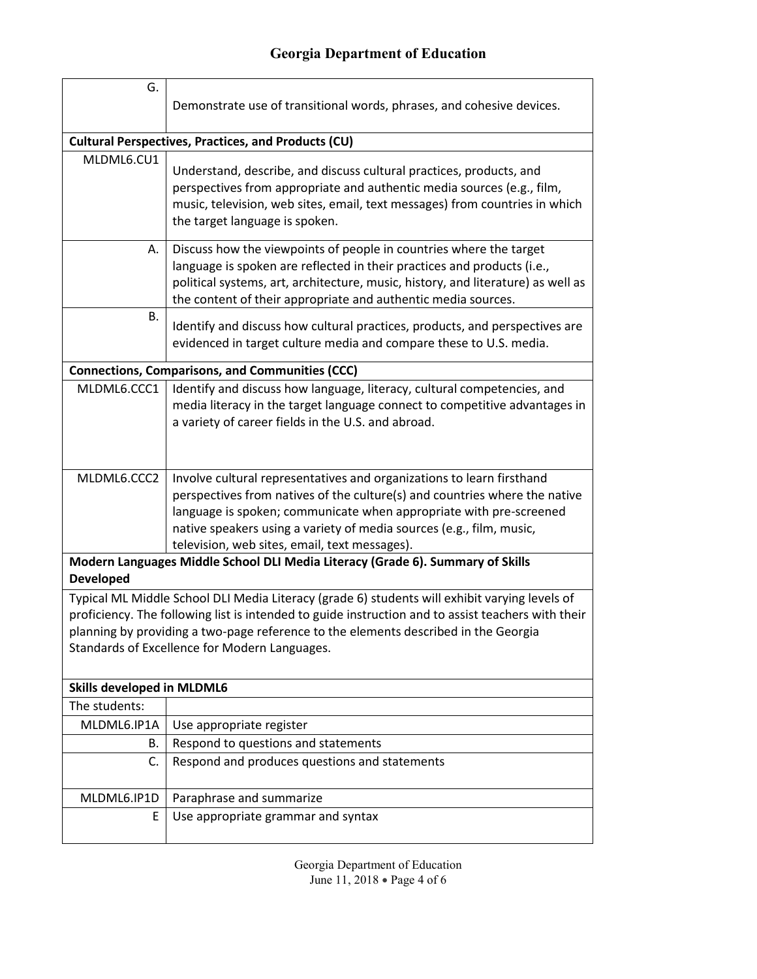| G.                                                                                                                                                                                                                                                                                                                                          | Demonstrate use of transitional words, phrases, and cohesive devices.                                                                                                                                                                                                                                                                              |  |
|---------------------------------------------------------------------------------------------------------------------------------------------------------------------------------------------------------------------------------------------------------------------------------------------------------------------------------------------|----------------------------------------------------------------------------------------------------------------------------------------------------------------------------------------------------------------------------------------------------------------------------------------------------------------------------------------------------|--|
|                                                                                                                                                                                                                                                                                                                                             | <b>Cultural Perspectives, Practices, and Products (CU)</b>                                                                                                                                                                                                                                                                                         |  |
| MLDML6.CU1                                                                                                                                                                                                                                                                                                                                  | Understand, describe, and discuss cultural practices, products, and<br>perspectives from appropriate and authentic media sources (e.g., film,<br>music, television, web sites, email, text messages) from countries in which<br>the target language is spoken.                                                                                     |  |
| А.                                                                                                                                                                                                                                                                                                                                          | Discuss how the viewpoints of people in countries where the target<br>language is spoken are reflected in their practices and products (i.e.,<br>political systems, art, architecture, music, history, and literature) as well as<br>the content of their appropriate and authentic media sources.                                                 |  |
| В.                                                                                                                                                                                                                                                                                                                                          | Identify and discuss how cultural practices, products, and perspectives are<br>evidenced in target culture media and compare these to U.S. media.                                                                                                                                                                                                  |  |
| <b>Connections, Comparisons, and Communities (CCC)</b>                                                                                                                                                                                                                                                                                      |                                                                                                                                                                                                                                                                                                                                                    |  |
| MLDML6.CCC1                                                                                                                                                                                                                                                                                                                                 | Identify and discuss how language, literacy, cultural competencies, and<br>media literacy in the target language connect to competitive advantages in<br>a variety of career fields in the U.S. and abroad.                                                                                                                                        |  |
| MLDML6.CCC2                                                                                                                                                                                                                                                                                                                                 | Involve cultural representatives and organizations to learn firsthand<br>perspectives from natives of the culture(s) and countries where the native<br>language is spoken; communicate when appropriate with pre-screened<br>native speakers using a variety of media sources (e.g., film, music,<br>television, web sites, email, text messages). |  |
| Modern Languages Middle School DLI Media Literacy (Grade 6). Summary of Skills<br><b>Developed</b>                                                                                                                                                                                                                                          |                                                                                                                                                                                                                                                                                                                                                    |  |
| Typical ML Middle School DLI Media Literacy (grade 6) students will exhibit varying levels of<br>proficiency. The following list is intended to guide instruction and to assist teachers with their<br>planning by providing a two-page reference to the elements described in the Georgia<br>Standards of Excellence for Modern Languages. |                                                                                                                                                                                                                                                                                                                                                    |  |
| <b>Skills developed in MLDML6</b>                                                                                                                                                                                                                                                                                                           |                                                                                                                                                                                                                                                                                                                                                    |  |
| The students:                                                                                                                                                                                                                                                                                                                               |                                                                                                                                                                                                                                                                                                                                                    |  |
| MLDML6.IP1A                                                                                                                                                                                                                                                                                                                                 | Use appropriate register                                                                                                                                                                                                                                                                                                                           |  |
| В.                                                                                                                                                                                                                                                                                                                                          | Respond to questions and statements                                                                                                                                                                                                                                                                                                                |  |
| C.                                                                                                                                                                                                                                                                                                                                          | Respond and produces questions and statements                                                                                                                                                                                                                                                                                                      |  |
| MLDML6.IP1D                                                                                                                                                                                                                                                                                                                                 | Paraphrase and summarize                                                                                                                                                                                                                                                                                                                           |  |
| E                                                                                                                                                                                                                                                                                                                                           | Use appropriate grammar and syntax                                                                                                                                                                                                                                                                                                                 |  |

Georgia Department of Education June 11, 2018 • Page 4 of 6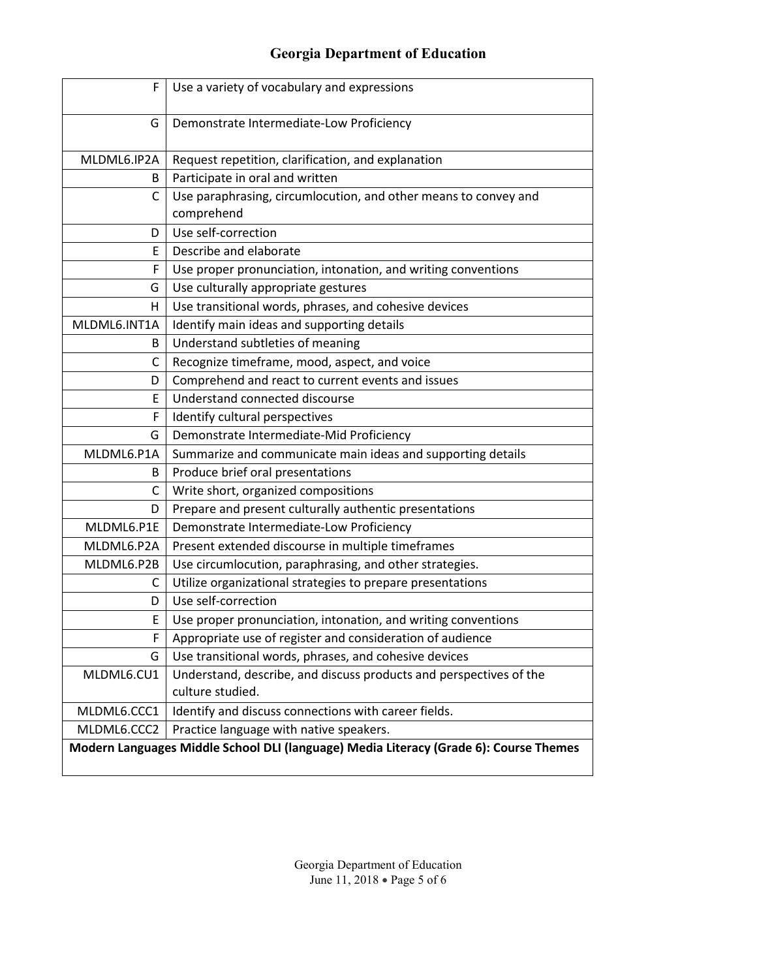| F                                                                                     | Use a variety of vocabulary and expressions                                            |  |
|---------------------------------------------------------------------------------------|----------------------------------------------------------------------------------------|--|
| G                                                                                     | Demonstrate Intermediate-Low Proficiency                                               |  |
| MLDML6.IP2A                                                                           | Request repetition, clarification, and explanation                                     |  |
| B                                                                                     | Participate in oral and written                                                        |  |
| C                                                                                     | Use paraphrasing, circumlocution, and other means to convey and<br>comprehend          |  |
| D                                                                                     | Use self-correction                                                                    |  |
| E                                                                                     | Describe and elaborate                                                                 |  |
| F                                                                                     | Use proper pronunciation, intonation, and writing conventions                          |  |
| G                                                                                     | Use culturally appropriate gestures                                                    |  |
| н                                                                                     | Use transitional words, phrases, and cohesive devices                                  |  |
| MLDML6.INT1A                                                                          | Identify main ideas and supporting details                                             |  |
| B                                                                                     | Understand subtleties of meaning                                                       |  |
| C                                                                                     | Recognize timeframe, mood, aspect, and voice                                           |  |
| D                                                                                     | Comprehend and react to current events and issues                                      |  |
| E                                                                                     | Understand connected discourse                                                         |  |
| F                                                                                     | Identify cultural perspectives                                                         |  |
| G                                                                                     | Demonstrate Intermediate-Mid Proficiency                                               |  |
| MLDML6.P1A                                                                            | Summarize and communicate main ideas and supporting details                            |  |
| B                                                                                     | Produce brief oral presentations                                                       |  |
| С                                                                                     | Write short, organized compositions                                                    |  |
| D                                                                                     | Prepare and present culturally authentic presentations                                 |  |
| MLDML6.P1E                                                                            | Demonstrate Intermediate-Low Proficiency                                               |  |
| MLDML6.P2A                                                                            | Present extended discourse in multiple timeframes                                      |  |
| MLDML6.P2B                                                                            | Use circumlocution, paraphrasing, and other strategies.                                |  |
| C                                                                                     | Utilize organizational strategies to prepare presentations                             |  |
| D                                                                                     | Use self-correction                                                                    |  |
| E                                                                                     | Use proper pronunciation, intonation, and writing conventions                          |  |
| F                                                                                     | Appropriate use of register and consideration of audience                              |  |
| G                                                                                     | Use transitional words, phrases, and cohesive devices                                  |  |
| MLDML6.CU1                                                                            | Understand, describe, and discuss products and perspectives of the<br>culture studied. |  |
| MLDML6.CCC1                                                                           | Identify and discuss connections with career fields.                                   |  |
| MLDML6.CCC2                                                                           | Practice language with native speakers.                                                |  |
| Modern Languages Middle School DLI (language) Media Literacy (Grade 6): Course Themes |                                                                                        |  |